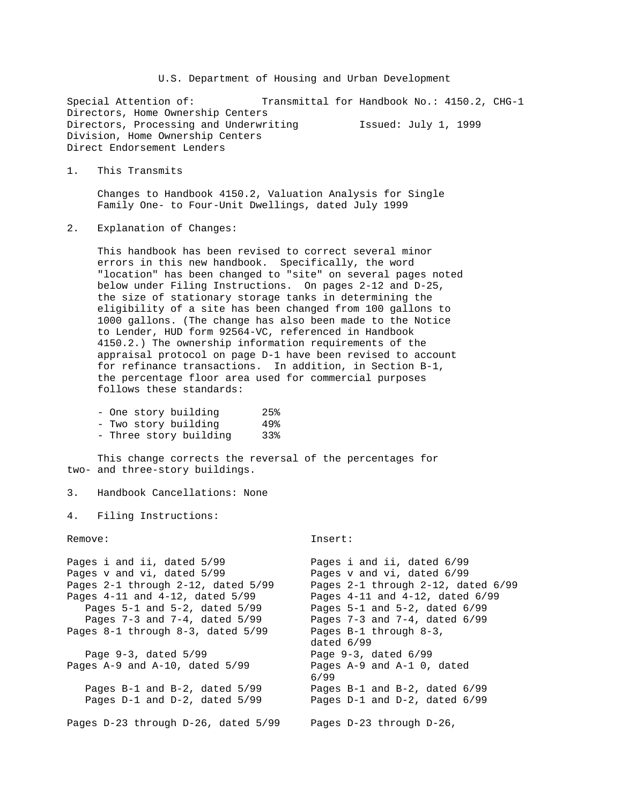U.S. Department of Housing and Urban Development

Special Attention of: Transmittal for Handbook No.: 4150.2, CHG-1 Directors, Home Ownership Centers Directors, Processing and Underwriting Issued: July 1, 1999 Division, Home Ownership Centers Direct Endorsement Lenders

1. This Transmits

 Changes to Handbook 4150.2, Valuation Analysis for Single Family One- to Four-Unit Dwellings, dated July 1999

2. Explanation of Changes:

 This handbook has been revised to correct several minor errors in this new handbook. Specifically, the word "location" has been changed to "site" on several pages noted below under Filing Instructions. On pages 2-12 and D-25, the size of stationary storage tanks in determining the eligibility of a site has been changed from 100 gallons to 1000 gallons. (The change has also been made to the Notice to Lender, HUD form 92564-VC, referenced in Handbook 4150.2.) The ownership information requirements of the appraisal protocol on page D-1 have been revised to account for refinance transactions. In addition, in Section B-1, the percentage floor area used for commercial purposes follows these standards:

| - One story building   | 25% |
|------------------------|-----|
| - Two story building   | 49% |
| - Three story building | 33% |

 This change corrects the reversal of the percentages for two- and three-story buildings.

```
3. Handbook Cancellations: None
```
4. Filing Instructions:

Remove: Insert:

| Pages i and ii, dated 6/99             |  |  |
|----------------------------------------|--|--|
| Pages v and vi, dated 6/99             |  |  |
| Pages 2-1 through 2-12, dated 6/99     |  |  |
| Pages $4-11$ and $4-12$ , dated $6/99$ |  |  |
| Pages $5-1$ and $5-2$ , dated $6/99$   |  |  |
| Pages 7-3 and 7-4, dated 6/99          |  |  |
| Pages B-1 through 8-3,                 |  |  |
| dated 6/99                             |  |  |
| Page $9-3$ , dated $6/99$              |  |  |
| Pages $A-9$ and $A-1$ 0, dated         |  |  |
| 6/99                                   |  |  |
| Pages $B-1$ and $B-2$ , dated $6/99$   |  |  |
| Pages $D-1$ and $D-2$ , dated $6/99$   |  |  |
|                                        |  |  |
| Pages D-23 through D-26,               |  |  |
|                                        |  |  |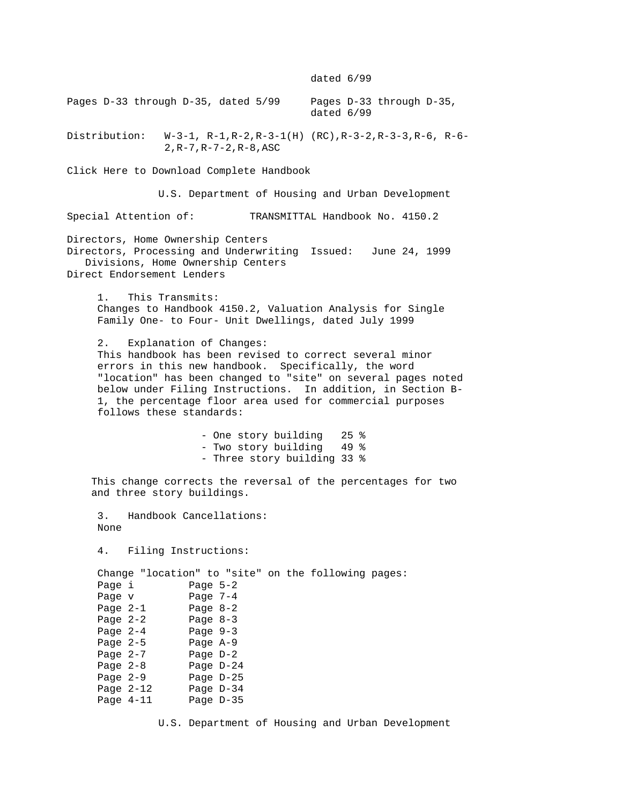dated 6/99

Pages D-33 through D-35, dated 5/99 Pages D-33 through D-35, dated 6/99 Distribution: W-3-1, R-1,R-2,R-3-1(H) (RC),R-3-2,R-3-3,R-6, R-6- 2,R-7,R-7-2,R-8,ASC Click Here to Download Complete Handbook U.S. Department of Housing and Urban Development Special Attention of: TRANSMITTAL Handbook No. 4150.2 Directors, Home Ownership Centers Directors, Processing and Underwriting Issued: June 24, 1999 Divisions, Home Ownership Centers Direct Endorsement Lenders 1. This Transmits: Changes to Handbook 4150.2, Valuation Analysis for Single Family One- to Four- Unit Dwellings, dated July 1999 2. Explanation of Changes: This handbook has been revised to correct several minor errors in this new handbook. Specifically, the word "location" has been changed to "site" on several pages noted below under Filing Instructions. In addition, in Section B- 1, the percentage floor area used for commercial purposes follows these standards: - One story building 25 % - Two story building 49 % - Three story building 33 % This change corrects the reversal of the percentages for two and three story buildings. 3. Handbook Cancellations: None 4. Filing Instructions: Change "location" to "site" on the following pages: Page i Page 5-2 Page v Page 7-4 Page 2-1 Page 8-2 Page 2-2 Page 8-3 Page 2-4 Page 9-3 Page 2-5 Page A-9 Page 2-7 Page D-2 Page 2-8 Page D-24 Page 2-9 Page D-25 Page 2-12 Page D-34 Page 4-11 Page D-35

U.S. Department of Housing and Urban Development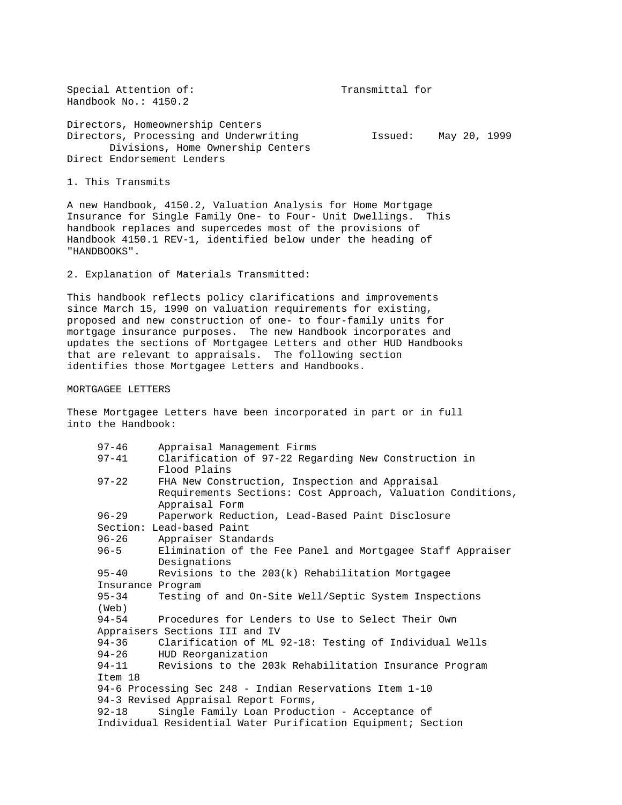Special Attention of: Transmittal for Handbook No.: 4150.2

Directors, Homeownership Centers Directors, Processing and Underwriting Tasued: May 20, 1999 Divisions, Home Ownership Centers Direct Endorsement Lenders

1. This Transmits

A new Handbook, 4150.2, Valuation Analysis for Home Mortgage Insurance for Single Family One- to Four- Unit Dwellings. This handbook replaces and supercedes most of the provisions of Handbook 4150.1 REV-1, identified below under the heading of "HANDBOOKS".

2. Explanation of Materials Transmitted:

This handbook reflects policy clarifications and improvements since March 15, 1990 on valuation requirements for existing, proposed and new construction of one- to four-family units for mortgage insurance purposes. The new Handbook incorporates and updates the sections of Mortgagee Letters and other HUD Handbooks that are relevant to appraisals. The following section identifies those Mortgagee Letters and Handbooks.

MORTGAGEE LETTERS

These Mortgagee Letters have been incorporated in part or in full into the Handbook:

| $97 - 46$                                                    | Appraisal Management Firms                                  |  |
|--------------------------------------------------------------|-------------------------------------------------------------|--|
| $97 - 41$                                                    | Clarification of 97-22 Regarding New Construction in        |  |
|                                                              | Flood Plains                                                |  |
| $97 - 22$                                                    | FHA New Construction, Inspection and Appraisal              |  |
|                                                              | Requirements Sections: Cost Approach, Valuation Conditions, |  |
|                                                              | Appraisal Form                                              |  |
| $96 - 29$                                                    | Paperwork Reduction, Lead-Based Paint Disclosure            |  |
|                                                              | Section: Lead-based Paint                                   |  |
| $96 - 26$                                                    | Appraiser Standards                                         |  |
| $96 - 5$                                                     | Elimination of the Fee Panel and Mortgagee Staff Appraiser  |  |
|                                                              | Designations                                                |  |
| $95 - 40$                                                    | Revisions to the 203(k) Rehabilitation Mortgagee            |  |
| Insurance Program                                            |                                                             |  |
| $95 - 34$                                                    | Testing of and On-Site Well/Septic System Inspections       |  |
| (Web)                                                        |                                                             |  |
| $94 - 54$                                                    | Procedures for Lenders to Use to Select Their Own           |  |
| Appraisers Sections III and IV                               |                                                             |  |
| $94 - 36$                                                    | Clarification of ML 92-18: Testing of Individual Wells      |  |
| $94 - 26$                                                    | HUD Reorganization                                          |  |
| 94-11                                                        | Revisions to the 203k Rehabilitation Insurance Program      |  |
| Item 18                                                      |                                                             |  |
| 94-6 Processing Sec 248 - Indian Reservations Item 1-10      |                                                             |  |
| 94-3 Revised Appraisal Report Forms,                         |                                                             |  |
| 92-18                                                        | Single Family Loan Production - Acceptance of               |  |
| Individual Residential Water Purification Equipment; Section |                                                             |  |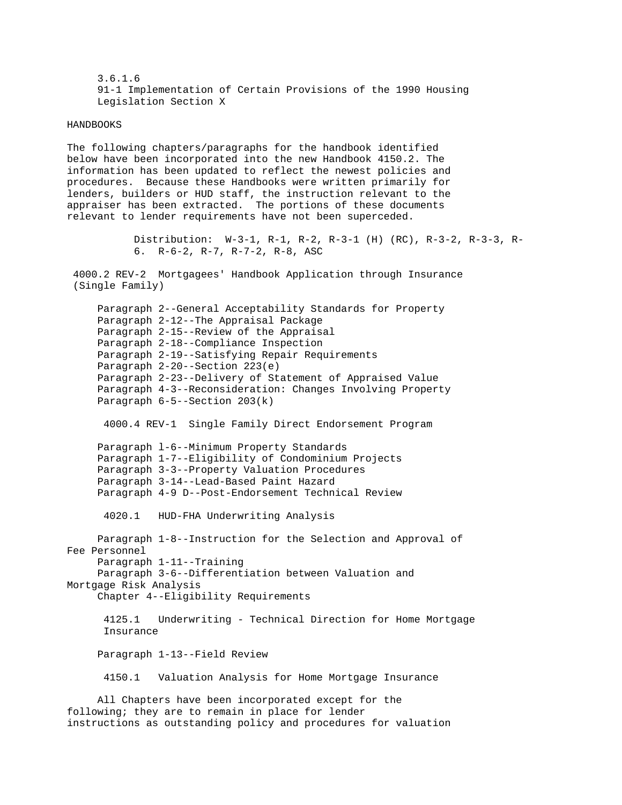3.6.1.6 91-1 Implementation of Certain Provisions of the 1990 Housing Legislation Section X

## HANDBOOKS

The following chapters/paragraphs for the handbook identified below have been incorporated into the new Handbook 4150.2. The information has been updated to reflect the newest policies and procedures. Because these Handbooks were written primarily for lenders, builders or HUD staff, the instruction relevant to the appraiser has been extracted. The portions of these documents relevant to lender requirements have not been superceded.

> Distribution: W-3-1, R-1, R-2, R-3-1 (H) (RC), R-3-2, R-3-3, R- 6. R-6-2, R-7, R-7-2, R-8, ASC

 4000.2 REV-2 Mortgagees' Handbook Application through Insurance (Single Family)

 Paragraph 2--General Acceptability Standards for Property Paragraph 2-12--The Appraisal Package Paragraph 2-15--Review of the Appraisal Paragraph 2-18--Compliance Inspection Paragraph 2-19--Satisfying Repair Requirements Paragraph 2-20--Section 223(e) Paragraph 2-23--Delivery of Statement of Appraised Value Paragraph 4-3--Reconsideration: Changes Involving Property Paragraph 6-5--Section 203(k)

4000.4 REV-1 Single Family Direct Endorsement Program

 Paragraph l-6--Minimum Property Standards Paragraph 1-7--Eligibility of Condominium Projects Paragraph 3-3--Property Valuation Procedures Paragraph 3-14--Lead-Based Paint Hazard Paragraph 4-9 D--Post-Endorsement Technical Review

4020.1 HUD-FHA Underwriting Analysis

 Paragraph 1-8--Instruction for the Selection and Approval of Fee Personnel Paragraph 1-11--Training Paragraph 3-6--Differentiation between Valuation and Mortgage Risk Analysis

Chapter 4--Eligibility Requirements

 4125.1 Underwriting - Technical Direction for Home Mortgage Insurance

Paragraph 1-13--Field Review

4150.1 Valuation Analysis for Home Mortgage Insurance

 All Chapters have been incorporated except for the following; they are to remain in place for lender instructions as outstanding policy and procedures for valuation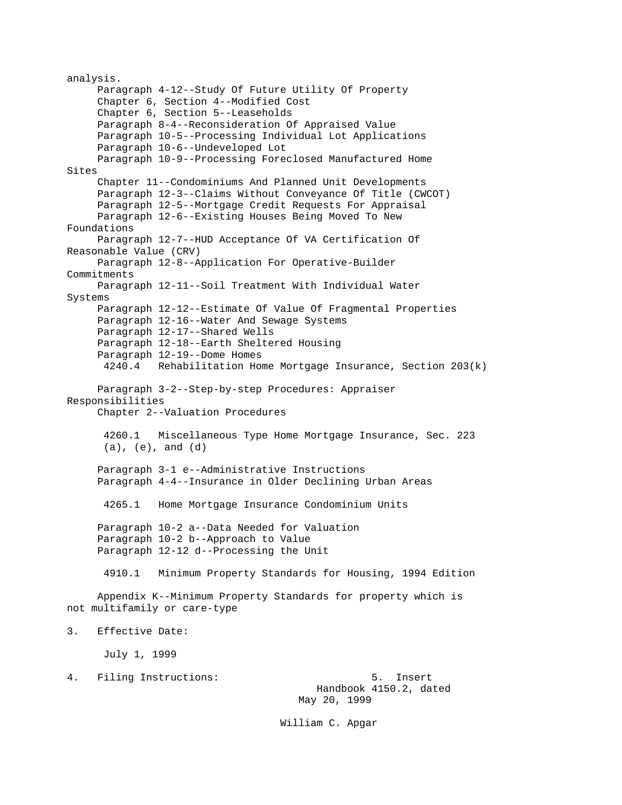analysis. Paragraph 4-12--Study Of Future Utility Of Property Chapter 6, Section 4--Modified Cost Chapter 6, Section 5--Leaseholds Paragraph 8-4--Reconsideration Of Appraised Value Paragraph 10-5--Processing Individual Lot Applications Paragraph 10-6--Undeveloped Lot Paragraph 10-9--Processing Foreclosed Manufactured Home Sites Chapter 11--Condominiums And Planned Unit Developments Paragraph 12-3--Claims Without Conveyance Of Title (CWCOT) Paragraph 12-5--Mortgage Credit Requests For Appraisal Paragraph 12-6--Existing Houses Being Moved To New Foundations Paragraph 12-7--HUD Acceptance Of VA Certification Of Reasonable Value (CRV) Paragraph 12-8--Application For Operative-Builder Commitments Paragraph 12-11--Soil Treatment With Individual Water Systems Paragraph 12-12--Estimate Of Value Of Fragmental Properties Paragraph 12-16--Water And Sewage Systems Paragraph 12-17--Shared Wells Paragraph 12-18--Earth Sheltered Housing Paragraph 12-19--Dome Homes 4240.4 Rehabilitation Home Mortgage Insurance, Section 203(k) Paragraph 3-2--Step-by-step Procedures: Appraiser Responsibilities Chapter 2--Valuation Procedures 4260.1 Miscellaneous Type Home Mortgage Insurance, Sec. 223 (a), (e), and (d) Paragraph 3-1 e--Administrative Instructions Paragraph 4-4--Insurance in Older Declining Urban Areas 4265.1 Home Mortgage Insurance Condominium Units Paragraph 10-2 a--Data Needed for Valuation Paragraph 10-2 b--Approach to Value Paragraph 12-12 d--Processing the Unit 4910.1 Minimum Property Standards for Housing, 1994 Edition Appendix K--Minimum Property Standards for property which is not multifamily or care-type 3. Effective Date: July 1, 1999 4. Filing Instructions: 5. Insert Handbook 4150.2, dated May 20, 1999

William C. Apgar